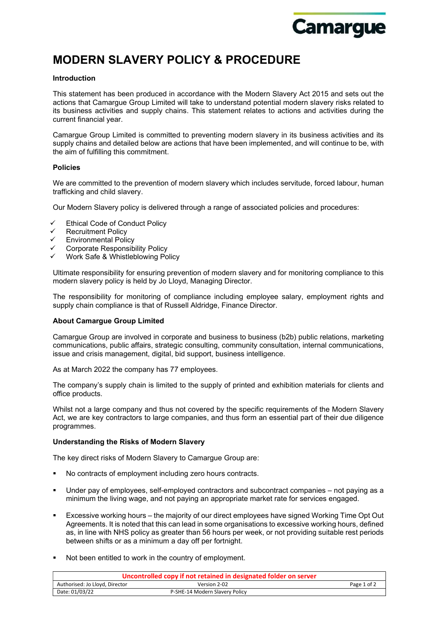

# MODERN SLAVERY POLICY & PROCEDURE

# Introduction

This statement has been produced in accordance with the Modern Slavery Act 2015 and sets out the actions that Camargue Group Limited will take to understand potential modern slavery risks related to its business activities and supply chains. This statement relates to actions and activities during the current financial year.

Camargue Group Limited is committed to preventing modern slavery in its business activities and its supply chains and detailed below are actions that have been implemented, and will continue to be, with the aim of fulfilling this commitment.

## Policies

We are committed to the prevention of modern slavery which includes servitude, forced labour, human trafficking and child slavery.

Our Modern Slavery policy is delivered through a range of associated policies and procedures:

- Ethical Code of Conduct Policy
- $\checkmark$  Recruitment Policy
- Environmental Policy
- $\checkmark$  Corporate Responsibility Policy
- Work Safe & Whistleblowing Policy

Ultimate responsibility for ensuring prevention of modern slavery and for monitoring compliance to this modern slavery policy is held by Jo Lloyd, Managing Director.

The responsibility for monitoring of compliance including employee salary, employment rights and supply chain compliance is that of Russell Aldridge, Finance Director.

# About Camargue Group Limited

Camargue Group are involved in corporate and business to business (b2b) public relations, marketing communications, public affairs, strategic consulting, community consultation, internal communications, issue and crisis management, digital, bid support, business intelligence.

As at March 2022 the company has 77 employees.

The company's supply chain is limited to the supply of printed and exhibition materials for clients and office products.

Whilst not a large company and thus not covered by the specific requirements of the Modern Slavery Act, we are key contractors to large companies, and thus form an essential part of their due diligence programmes.

## Understanding the Risks of Modern Slavery

The key direct risks of Modern Slavery to Camargue Group are:

- No contracts of employment including zero hours contracts.
- Under pay of employees, self-employed contractors and subcontract companies not paying as a minimum the living wage, and not paying an appropriate market rate for services engaged.
- Excessive working hours the majority of our direct employees have signed Working Time Opt Out Agreements. It is noted that this can lead in some organisations to excessive working hours, defined as, in line with NHS policy as greater than 56 hours per week, or not providing suitable rest periods between shifts or as a minimum a day off per fortnight.
- Not been entitled to work in the country of employment.

| Uncontrolled copy if not retained in designated folder on server |                                |             |  |
|------------------------------------------------------------------|--------------------------------|-------------|--|
| Authorised: Jo Lloyd, Director                                   | Version 2-02                   | Page 1 of 2 |  |
| Date: 01/03/22                                                   | P-SHE-14 Modern Slavery Policy |             |  |